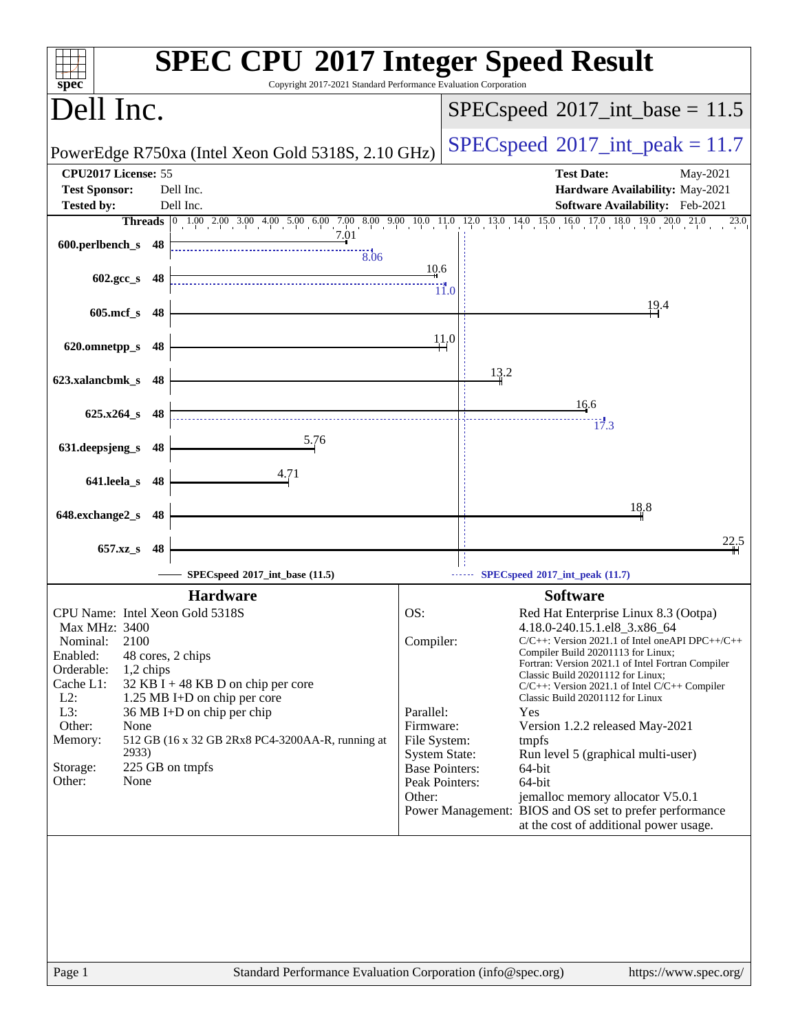| Copyright 2017-2021 Standard Performance Evaluation Corporation<br>spec <sup>®</sup>                                                                                                                                                                                                                                                                                                                                      |                                                                                                                                                                                                                                                                                                                                                                                                                                                                                                                                                                                                                                                                                                                                                   |
|---------------------------------------------------------------------------------------------------------------------------------------------------------------------------------------------------------------------------------------------------------------------------------------------------------------------------------------------------------------------------------------------------------------------------|---------------------------------------------------------------------------------------------------------------------------------------------------------------------------------------------------------------------------------------------------------------------------------------------------------------------------------------------------------------------------------------------------------------------------------------------------------------------------------------------------------------------------------------------------------------------------------------------------------------------------------------------------------------------------------------------------------------------------------------------------|
| Dell Inc.                                                                                                                                                                                                                                                                                                                                                                                                                 | $SPEC speed^{\circ}2017\_int\_base = 11.5$                                                                                                                                                                                                                                                                                                                                                                                                                                                                                                                                                                                                                                                                                                        |
| PowerEdge R750xa (Intel Xeon Gold 5318S, 2.10 GHz)                                                                                                                                                                                                                                                                                                                                                                        | $SPEC speed^{\circ}2017\_int\_peak = 11.7$                                                                                                                                                                                                                                                                                                                                                                                                                                                                                                                                                                                                                                                                                                        |
| CPU2017 License: 55<br><b>Test Sponsor:</b><br>Dell Inc.                                                                                                                                                                                                                                                                                                                                                                  | <b>Test Date:</b><br>May-2021<br>Hardware Availability: May-2021                                                                                                                                                                                                                                                                                                                                                                                                                                                                                                                                                                                                                                                                                  |
| Dell Inc.<br><b>Tested by:</b>                                                                                                                                                                                                                                                                                                                                                                                            | Software Availability: Feb-2021<br>23.0                                                                                                                                                                                                                                                                                                                                                                                                                                                                                                                                                                                                                                                                                                           |
| 7.01<br>600.perlbench_s 48<br>$\overline{8.06}$                                                                                                                                                                                                                                                                                                                                                                           | Threads 0 1.00 2.00 3.00 4.00 5.00 6.00 7.00 8.00 9.00 10.0 11.0 12.0 13.0 14.0 15.0 16.0 17.0 18.0 19.0 20.0 21.0                                                                                                                                                                                                                                                                                                                                                                                                                                                                                                                                                                                                                                |
| $602.\text{gcc s}$ 48                                                                                                                                                                                                                                                                                                                                                                                                     | 10.6<br>$\dddot{}$ 11.0                                                                                                                                                                                                                                                                                                                                                                                                                                                                                                                                                                                                                                                                                                                           |
| $605$ .mcf_s<br>- 48                                                                                                                                                                                                                                                                                                                                                                                                      | 19.4                                                                                                                                                                                                                                                                                                                                                                                                                                                                                                                                                                                                                                                                                                                                              |
| 620.omnetpp_s<br>48                                                                                                                                                                                                                                                                                                                                                                                                       | 11.0                                                                                                                                                                                                                                                                                                                                                                                                                                                                                                                                                                                                                                                                                                                                              |
| 623.xalancbmk_s<br>-48                                                                                                                                                                                                                                                                                                                                                                                                    | 13.2                                                                                                                                                                                                                                                                                                                                                                                                                                                                                                                                                                                                                                                                                                                                              |
| $625.x264_s$<br>- 48                                                                                                                                                                                                                                                                                                                                                                                                      | 16.6<br>17.3                                                                                                                                                                                                                                                                                                                                                                                                                                                                                                                                                                                                                                                                                                                                      |
| 5.76<br>631.deepsjeng_s<br>48                                                                                                                                                                                                                                                                                                                                                                                             |                                                                                                                                                                                                                                                                                                                                                                                                                                                                                                                                                                                                                                                                                                                                                   |
| 4.71<br>641.leela_s 48                                                                                                                                                                                                                                                                                                                                                                                                    |                                                                                                                                                                                                                                                                                                                                                                                                                                                                                                                                                                                                                                                                                                                                                   |
| 648.exchange2_s<br>-48                                                                                                                                                                                                                                                                                                                                                                                                    | 18.8                                                                                                                                                                                                                                                                                                                                                                                                                                                                                                                                                                                                                                                                                                                                              |
| 657.xz_s<br>48                                                                                                                                                                                                                                                                                                                                                                                                            | 22.5                                                                                                                                                                                                                                                                                                                                                                                                                                                                                                                                                                                                                                                                                                                                              |
| SPECspeed®2017_int_base (11.5)                                                                                                                                                                                                                                                                                                                                                                                            | SPECspeed®2017_int_peak (11.7)                                                                                                                                                                                                                                                                                                                                                                                                                                                                                                                                                                                                                                                                                                                    |
| <b>Hardware</b>                                                                                                                                                                                                                                                                                                                                                                                                           | <b>Software</b>                                                                                                                                                                                                                                                                                                                                                                                                                                                                                                                                                                                                                                                                                                                                   |
| CPU Name: Intel Xeon Gold 5318S<br>Max MHz: 3400<br>2100<br>Nominal:<br>Enabled:<br>48 cores, 2 chips<br>Orderable:<br>1,2 chips<br>Cache L1:<br>$32$ KB I + 48 KB D on chip per core<br>$L2$ :<br>1.25 MB I+D on chip per core<br>L3:<br>$36 \text{ MB}$ I+D on chip per chip<br>Other:<br>None<br>512 GB (16 x 32 GB 2Rx8 PC4-3200AA-R, running at<br>Memory:<br>2933)<br>225 GB on tmpfs<br>Storage:<br>Other:<br>None | OS:<br>Red Hat Enterprise Linux 8.3 (Ootpa)<br>4.18.0-240.15.1.el8_3.x86_64<br>Compiler:<br>$C/C++$ : Version 2021.1 of Intel one API DPC++/C++<br>Compiler Build 20201113 for Linux;<br>Fortran: Version 2021.1 of Intel Fortran Compiler<br>Classic Build 20201112 for Linux;<br>C/C++: Version 2021.1 of Intel C/C++ Compiler<br>Classic Build 20201112 for Linux<br>Parallel:<br>Yes<br>Firmware:<br>Version 1.2.2 released May-2021<br>File System:<br>tmpfs<br><b>System State:</b><br>Run level 5 (graphical multi-user)<br><b>Base Pointers:</b><br>64-bit<br>64-bit<br>Peak Pointers:<br>Other:<br>jemalloc memory allocator V5.0.1<br>Power Management: BIOS and OS set to prefer performance<br>at the cost of additional power usage. |
| Page 1                                                                                                                                                                                                                                                                                                                                                                                                                    | Standard Performance Evaluation Corporation (info@spec.org)<br>https://www.spec.org/                                                                                                                                                                                                                                                                                                                                                                                                                                                                                                                                                                                                                                                              |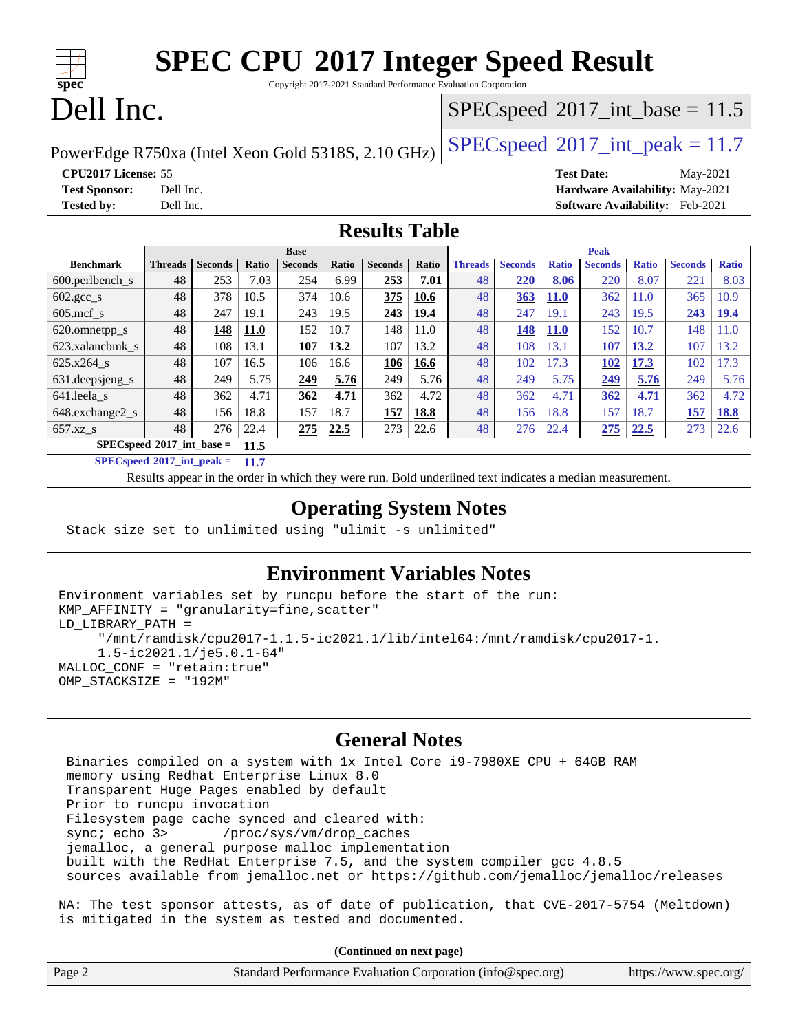| <b>SPEC CPU®2017 Integer Speed Result</b><br>Copyright 2017-2021 Standard Performance Evaluation Corporation<br>spec® |                                       |                |             |                |       |                                            |       |                |                |              |                |              |                |              |
|-----------------------------------------------------------------------------------------------------------------------|---------------------------------------|----------------|-------------|----------------|-------|--------------------------------------------|-------|----------------|----------------|--------------|----------------|--------------|----------------|--------------|
| Dell Inc.                                                                                                             |                                       |                |             |                |       | $SPEC speed^{\circ}2017\_int\_base = 11.5$ |       |                |                |              |                |              |                |              |
| $SPEC speed$ <sup>®</sup> $2017$ _int_peak = 11.7<br>PowerEdge R750xa (Intel Xeon Gold 5318S, 2.10 GHz)               |                                       |                |             |                |       |                                            |       |                |                |              |                |              |                |              |
| CPU2017 License: 55<br><b>Test Date:</b><br>May-2021                                                                  |                                       |                |             |                |       |                                            |       |                |                |              |                |              |                |              |
| <b>Test Sponsor:</b><br>Hardware Availability: May-2021<br>Dell Inc.                                                  |                                       |                |             |                |       |                                            |       |                |                |              |                |              |                |              |
| <b>Tested by:</b><br>Software Availability: Feb-2021<br>Dell Inc.                                                     |                                       |                |             |                |       |                                            |       |                |                |              |                |              |                |              |
| <b>Results Table</b>                                                                                                  |                                       |                |             |                |       |                                            |       |                |                |              |                |              |                |              |
|                                                                                                                       |                                       |                |             | <b>Base</b>    |       |                                            |       |                |                |              | <b>Peak</b>    |              |                |              |
| <b>Benchmark</b>                                                                                                      | <b>Threads</b>                        | <b>Seconds</b> | Ratio       | <b>Seconds</b> | Ratio | <b>Seconds</b>                             | Ratio | <b>Threads</b> | <b>Seconds</b> | <b>Ratio</b> | <b>Seconds</b> | <b>Ratio</b> | <b>Seconds</b> | <b>Ratio</b> |
| 600.perlbench_s                                                                                                       | 48                                    | 253            | 7.03        | 254            | 6.99  | 253                                        | 7.01  | 48             | 220            | 8.06         | 220            | 8.07         | 221            | 8.03         |
| $602.\text{gcc}\s$                                                                                                    | 48                                    | 378            | 10.5        | 374            | 10.6  | 375                                        | 10.6  | 48             | 363            | <b>11.0</b>  | 362            | 11.0         | 365            | 10.9         |
| $605$ .mcf s                                                                                                          | 48                                    | 247            | 19.1        | 243            | 19.5  | <u>243</u>                                 | 19.4  | 48             | 247            | 19.1         | 243            | 19.5         | 243            | <u>19.4</u>  |
| 620.omnetpp_s                                                                                                         | 48                                    | 148            | <b>11.0</b> | 152            | 10.7  | 148                                        | 11.0  | 48             | 148            | <b>11.0</b>  | 152            | 10.7         | 148            | 11.0         |
| 623.xalancbmk s                                                                                                       | 48                                    | 108            | 13.1        | 107            | 13.2  | 107                                        | 13.2  | 48             | 108            | 13.1         | 107            | 13.2         | 107            | 13.2         |
| 625.x264_s                                                                                                            | 48                                    | 107            | 16.5        | 106            | 16.6  | 106                                        | 16.6  | 48             | 102            | 17.3         | 102            | 17.3         | 102            | 17.3         |
| 631. deepsjeng s                                                                                                      | 48                                    | 249            | 5.75        | 249            | 5.76  | 249                                        | 5.76  | 48             | 249            | 5.75         | 249            | 5.76         | 249            | 5.76         |
| 641.leela_s                                                                                                           | 48                                    | 362            | 4.71        | 362            | 4.71  | 362                                        | 4.72  | 48             | 362            | 4.71         | 362            | 4.71         | 362            | 4.72         |
| 648.exchange2_s                                                                                                       | 48                                    | 156            | 18.8        | 157            | 18.7  | 157                                        | 18.8  | 48             | 156            | 18.8         | 157            | 18.7         | 157            | 18.8         |
| 657.xz_s                                                                                                              | 48                                    | 276            | 22.4        | 275            | 22.5  | 273                                        | 22.6  | 48             | 276            | 22.4         | 275            | 22.5         | 273            | 22.6         |
| $SPECspeed*2017$ int base =<br>11.5                                                                                   |                                       |                |             |                |       |                                            |       |                |                |              |                |              |                |              |
|                                                                                                                       | $SPECspeed*2017\_int\_peak =$<br>11.7 |                |             |                |       |                                            |       |                |                |              |                |              |                |              |
| Results appear in the order in which they were run. Bold underlined text indicates a median measurement.              |                                       |                |             |                |       |                                            |       |                |                |              |                |              |                |              |
|                                                                                                                       |                                       |                |             |                |       |                                            |       |                |                |              |                |              |                |              |

#### **[Operating System Notes](http://www.spec.org/auto/cpu2017/Docs/result-fields.html#OperatingSystemNotes)**

Stack size set to unlimited using "ulimit -s unlimited"

#### **[Environment Variables Notes](http://www.spec.org/auto/cpu2017/Docs/result-fields.html#EnvironmentVariablesNotes)**

```
Environment variables set by runcpu before the start of the run:
KMP_AFFINITY = "granularity=fine,scatter"
LD_LIBRARY_PATH =
      "/mnt/ramdisk/cpu2017-1.1.5-ic2021.1/lib/intel64:/mnt/ramdisk/cpu2017-1.
      1.5-ic2021.1/je5.0.1-64"
MALLOC_CONF = "retain:true"
OMP_STACKSIZE = "192M"
```
#### **[General Notes](http://www.spec.org/auto/cpu2017/Docs/result-fields.html#GeneralNotes)**

 Binaries compiled on a system with 1x Intel Core i9-7980XE CPU + 64GB RAM memory using Redhat Enterprise Linux 8.0 Transparent Huge Pages enabled by default Prior to runcpu invocation Filesystem page cache synced and cleared with: sync; echo 3> /proc/sys/vm/drop\_caches jemalloc, a general purpose malloc implementation built with the RedHat Enterprise 7.5, and the system compiler gcc 4.8.5 sources available from jemalloc.net or <https://github.com/jemalloc/jemalloc/releases>

NA: The test sponsor attests, as of date of publication, that CVE-2017-5754 (Meltdown) is mitigated in the system as tested and documented.

**(Continued on next page)**

| Standard Performance Evaluation Corporation (info@spec.org)<br>Page 2 |  |  | https://www.spec.org/ |
|-----------------------------------------------------------------------|--|--|-----------------------|
|-----------------------------------------------------------------------|--|--|-----------------------|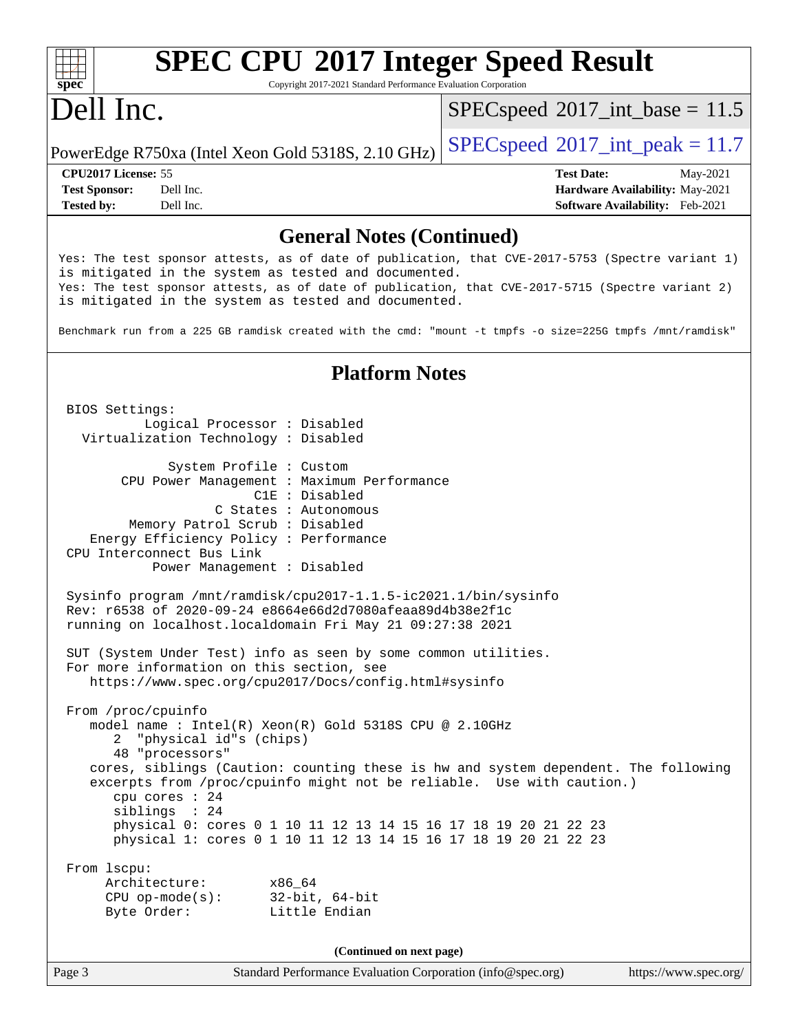# **[SPEC CPU](http://www.spec.org/auto/cpu2017/Docs/result-fields.html#SPECCPU2017IntegerSpeedResult)[2017 Integer Speed Result](http://www.spec.org/auto/cpu2017/Docs/result-fields.html#SPECCPU2017IntegerSpeedResult)**

Copyright 2017-2021 Standard Performance Evaluation Corporation

## Dell Inc.

**[spec](http://www.spec.org/)**

 $SPECspeed^{\circ}2017\_int\_base = 11.5$  $SPECspeed^{\circ}2017\_int\_base = 11.5$ 

PowerEdge R750xa (Intel Xeon Gold 5318S, 2.10 GHz)  $\left|$  [SPECspeed](http://www.spec.org/auto/cpu2017/Docs/result-fields.html#SPECspeed2017intpeak)®[2017\\_int\\_peak = 1](http://www.spec.org/auto/cpu2017/Docs/result-fields.html#SPECspeed2017intpeak)1.7

**[Tested by:](http://www.spec.org/auto/cpu2017/Docs/result-fields.html#Testedby)** Dell Inc. **[Software Availability:](http://www.spec.org/auto/cpu2017/Docs/result-fields.html#SoftwareAvailability)** Feb-2021

**[CPU2017 License:](http://www.spec.org/auto/cpu2017/Docs/result-fields.html#CPU2017License)** 55 **[Test Date:](http://www.spec.org/auto/cpu2017/Docs/result-fields.html#TestDate)** May-2021 **[Test Sponsor:](http://www.spec.org/auto/cpu2017/Docs/result-fields.html#TestSponsor)** Dell Inc. **[Hardware Availability:](http://www.spec.org/auto/cpu2017/Docs/result-fields.html#HardwareAvailability)** May-2021

#### **[General Notes \(Continued\)](http://www.spec.org/auto/cpu2017/Docs/result-fields.html#GeneralNotes)**

Yes: The test sponsor attests, as of date of publication, that CVE-2017-5753 (Spectre variant 1) is mitigated in the system as tested and documented. Yes: The test sponsor attests, as of date of publication, that CVE-2017-5715 (Spectre variant 2) is mitigated in the system as tested and documented.

Benchmark run from a 225 GB ramdisk created with the cmd: "mount -t tmpfs -o size=225G tmpfs /mnt/ramdisk"

#### **[Platform Notes](http://www.spec.org/auto/cpu2017/Docs/result-fields.html#PlatformNotes)**

 BIOS Settings: Logical Processor : Disabled Virtualization Technology : Disabled System Profile : Custom CPU Power Management : Maximum Performance C1E : Disabled C States : Autonomous Memory Patrol Scrub : Disabled Energy Efficiency Policy : Performance CPU Interconnect Bus Link Power Management : Disabled Sysinfo program /mnt/ramdisk/cpu2017-1.1.5-ic2021.1/bin/sysinfo Rev: r6538 of 2020-09-24 e8664e66d2d7080afeaa89d4b38e2f1c running on localhost.localdomain Fri May 21 09:27:38 2021 SUT (System Under Test) info as seen by some common utilities. For more information on this section, see <https://www.spec.org/cpu2017/Docs/config.html#sysinfo> From /proc/cpuinfo model name : Intel(R) Xeon(R) Gold 5318S CPU @ 2.10GHz 2 "physical id"s (chips) 48 "processors" cores, siblings (Caution: counting these is hw and system dependent. The following excerpts from /proc/cpuinfo might not be reliable. Use with caution.) cpu cores : 24 siblings : 24 physical 0: cores 0 1 10 11 12 13 14 15 16 17 18 19 20 21 22 23 physical 1: cores 0 1 10 11 12 13 14 15 16 17 18 19 20 21 22 23 From lscpu: Architecture: x86\_64 CPU op-mode(s): 32-bit, 64-bit Byte Order: Little Endian **(Continued on next page)**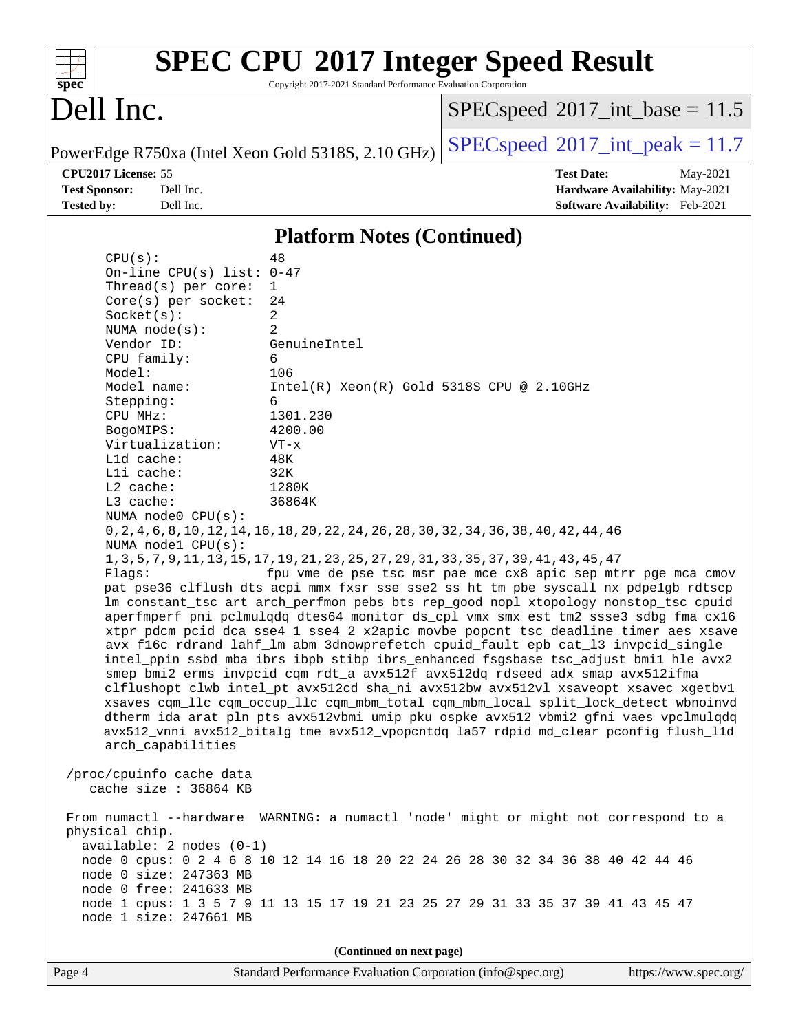| $spec^*$                                                                                                                                                                                                                                                                                                                                              | Copyright 2017-2021 Standard Performance Evaluation Corporation | <b>SPEC CPU®2017 Integer Speed Result</b>                                                                                                                  |  |  |  |
|-------------------------------------------------------------------------------------------------------------------------------------------------------------------------------------------------------------------------------------------------------------------------------------------------------------------------------------------------------|-----------------------------------------------------------------|------------------------------------------------------------------------------------------------------------------------------------------------------------|--|--|--|
| Dell Inc.                                                                                                                                                                                                                                                                                                                                             |                                                                 | $SPEC speed^{\circ}2017\_int\_base = 11.5$                                                                                                                 |  |  |  |
| PowerEdge R750xa (Intel Xeon Gold 5318S, 2.10 GHz)                                                                                                                                                                                                                                                                                                    |                                                                 | $SPEC speed^{\circ}2017\_int\_peak = 11.7$                                                                                                                 |  |  |  |
| CPU2017 License: 55                                                                                                                                                                                                                                                                                                                                   |                                                                 | <b>Test Date:</b><br>May-2021                                                                                                                              |  |  |  |
| <b>Test Sponsor:</b><br>Dell Inc.                                                                                                                                                                                                                                                                                                                     |                                                                 | Hardware Availability: May-2021                                                                                                                            |  |  |  |
| <b>Tested by:</b><br>Dell Inc.                                                                                                                                                                                                                                                                                                                        |                                                                 | <b>Software Availability:</b> Feb-2021                                                                                                                     |  |  |  |
|                                                                                                                                                                                                                                                                                                                                                       | <b>Platform Notes (Continued)</b>                               |                                                                                                                                                            |  |  |  |
| CPU(s):                                                                                                                                                                                                                                                                                                                                               | 48                                                              |                                                                                                                                                            |  |  |  |
| On-line CPU(s) list: $0-47$                                                                                                                                                                                                                                                                                                                           |                                                                 |                                                                                                                                                            |  |  |  |
| Thread(s) per core:                                                                                                                                                                                                                                                                                                                                   | 1                                                               |                                                                                                                                                            |  |  |  |
| Core(s) per socket:                                                                                                                                                                                                                                                                                                                                   | 24                                                              |                                                                                                                                                            |  |  |  |
| Socket(s):                                                                                                                                                                                                                                                                                                                                            | 2                                                               |                                                                                                                                                            |  |  |  |
| NUMA $node(s)$ :<br>Vendor ID:                                                                                                                                                                                                                                                                                                                        | 2<br>GenuineIntel                                               |                                                                                                                                                            |  |  |  |
| CPU family:                                                                                                                                                                                                                                                                                                                                           | 6                                                               |                                                                                                                                                            |  |  |  |
| Model:                                                                                                                                                                                                                                                                                                                                                | 106                                                             |                                                                                                                                                            |  |  |  |
| Model name:                                                                                                                                                                                                                                                                                                                                           | $Intel(R) Xeon(R) Gold 5318S CPU @ 2.10GHz$                     |                                                                                                                                                            |  |  |  |
| Stepping:                                                                                                                                                                                                                                                                                                                                             | 6                                                               |                                                                                                                                                            |  |  |  |
| CPU MHz:                                                                                                                                                                                                                                                                                                                                              | 1301.230                                                        |                                                                                                                                                            |  |  |  |
| BogoMIPS:<br>Virtualization:                                                                                                                                                                                                                                                                                                                          | 4200.00<br>$VT - x$                                             |                                                                                                                                                            |  |  |  |
| L1d cache:                                                                                                                                                                                                                                                                                                                                            | 48K                                                             |                                                                                                                                                            |  |  |  |
| Lli cache:                                                                                                                                                                                                                                                                                                                                            | 32K                                                             |                                                                                                                                                            |  |  |  |
| $L2$ cache:                                                                                                                                                                                                                                                                                                                                           | 1280K                                                           |                                                                                                                                                            |  |  |  |
| L3 cache:                                                                                                                                                                                                                                                                                                                                             | 36864K                                                          |                                                                                                                                                            |  |  |  |
| NUMA node0 CPU(s):<br>NUMA nodel CPU(s):                                                                                                                                                                                                                                                                                                              |                                                                 | 0, 2, 4, 6, 8, 10, 12, 14, 16, 18, 20, 22, 24, 26, 28, 30, 32, 34, 36, 38, 40, 42, 44, 46                                                                  |  |  |  |
| Flags:                                                                                                                                                                                                                                                                                                                                                |                                                                 | 1, 3, 5, 7, 9, 11, 13, 15, 17, 19, 21, 23, 25, 27, 29, 31, 33, 35, 37, 39, 41, 43, 45, 47<br>fpu vme de pse tsc msr pae mce cx8 apic sep mtrr pge mca cmov |  |  |  |
| pat pse36 clflush dts acpi mmx fxsr sse sse2 ss ht tm pbe syscall nx pdpelgb rdtscp<br>lm constant_tsc art arch_perfmon pebs bts rep_good nopl xtopology nonstop_tsc cpuid<br>aperfmperf pni pclmulqdq dtes64 monitor ds_cpl vmx smx est tm2 ssse3 sdbg fma cx16<br>xtpr pdcm pcid dca sse4_1 sse4_2 x2apic movbe popcnt tsc_deadline_timer aes xsave |                                                                 |                                                                                                                                                            |  |  |  |
| avx f16c rdrand lahf_lm abm 3dnowprefetch cpuid_fault epb cat_13 invpcid_single<br>intel_ppin ssbd mba ibrs ibpb stibp ibrs_enhanced fsgsbase tsc_adjust bmil hle avx2<br>smep bmi2 erms invpcid cqm rdt_a avx512f avx512dq rdseed adx smap avx512ifma<br>clflushopt clwb intel_pt avx512cd sha_ni avx512bw avx512vl xsaveopt xsavec xgetbvl          |                                                                 |                                                                                                                                                            |  |  |  |
| xsaves cqm_llc cqm_occup_llc cqm_mbm_total cqm_mbm_local split_lock_detect wbnoinvd<br>dtherm ida arat pln pts avx512vbmi umip pku ospke avx512_vbmi2 gfni vaes vpclmulqdq<br>avx512_vnni avx512_bitalg tme avx512_vpopcntdq la57 rdpid md_clear pconfig flush_l1d<br>arch_capabilities                                                               |                                                                 |                                                                                                                                                            |  |  |  |
| /proc/cpuinfo cache data<br>cache size : 36864 KB                                                                                                                                                                                                                                                                                                     |                                                                 |                                                                                                                                                            |  |  |  |
| physical chip.                                                                                                                                                                                                                                                                                                                                        |                                                                 | From numactl --hardware WARNING: a numactl 'node' might or might not correspond to a                                                                       |  |  |  |
| $available: 2 nodes (0-1)$<br>node 0 cpus: 0 2 4 6 8 10 12 14 16 18 20 22 24 26 28 30 32 34 36 38 40 42 44 46<br>node 0 size: 247363 MB<br>node 0 free: 241633 MB                                                                                                                                                                                     |                                                                 |                                                                                                                                                            |  |  |  |
| node 1 size: 247661 MB                                                                                                                                                                                                                                                                                                                                |                                                                 | node 1 cpus: 1 3 5 7 9 11 13 15 17 19 21 23 25 27 29 31 33 35 37 39 41 43 45 47                                                                            |  |  |  |
|                                                                                                                                                                                                                                                                                                                                                       | (Continued on next page)                                        |                                                                                                                                                            |  |  |  |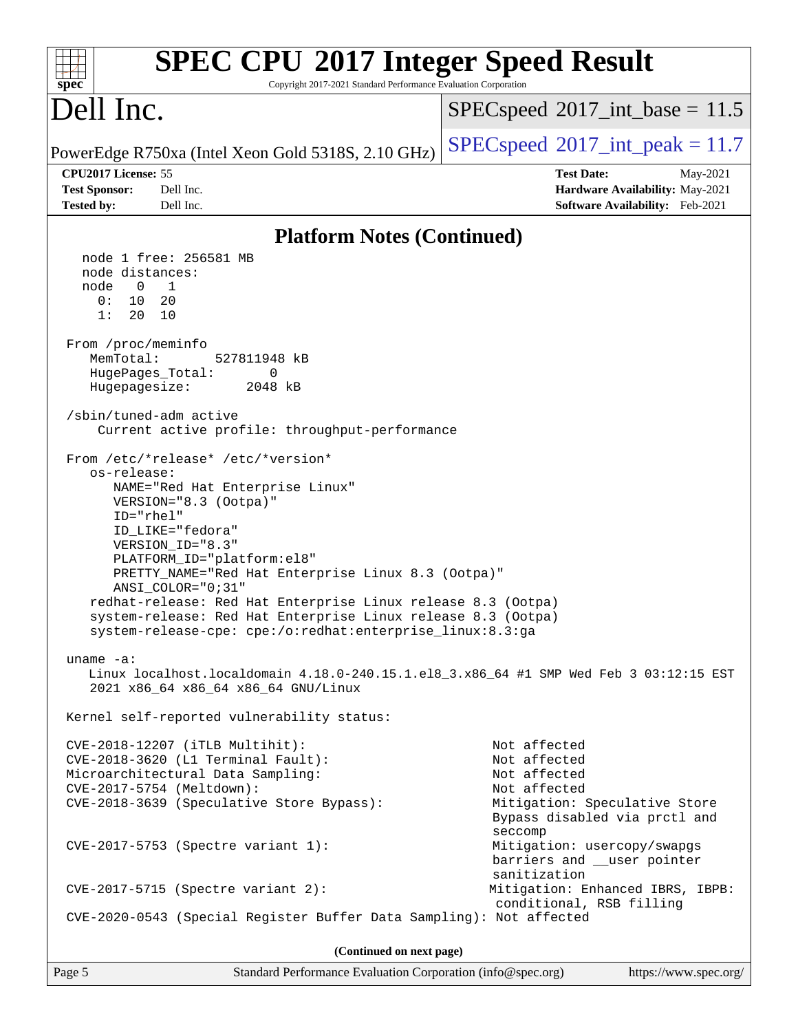| <b>SPEC CPU®2017 Integer Speed Result</b><br>Copyright 2017-2021 Standard Performance Evaluation Corporation<br>$spec^*$                                                                                                                                                                                                                                                                                                                                                                                                                                                                                                                                                                                                                                                     |                                                                                                                                           |  |  |  |
|------------------------------------------------------------------------------------------------------------------------------------------------------------------------------------------------------------------------------------------------------------------------------------------------------------------------------------------------------------------------------------------------------------------------------------------------------------------------------------------------------------------------------------------------------------------------------------------------------------------------------------------------------------------------------------------------------------------------------------------------------------------------------|-------------------------------------------------------------------------------------------------------------------------------------------|--|--|--|
| Dell Inc.                                                                                                                                                                                                                                                                                                                                                                                                                                                                                                                                                                                                                                                                                                                                                                    | $SPEC speed^{\circ}2017\_int\_base = 11.5$                                                                                                |  |  |  |
| PowerEdge R750xa (Intel Xeon Gold 5318S, 2.10 GHz)                                                                                                                                                                                                                                                                                                                                                                                                                                                                                                                                                                                                                                                                                                                           | $SPEC speed^{\circ}2017\_int\_peak = 11.7$                                                                                                |  |  |  |
| CPU2017 License: 55<br><b>Test Sponsor:</b><br>Dell Inc.                                                                                                                                                                                                                                                                                                                                                                                                                                                                                                                                                                                                                                                                                                                     | <b>Test Date:</b><br>May-2021<br>Hardware Availability: May-2021                                                                          |  |  |  |
| <b>Tested by:</b><br>Dell Inc.                                                                                                                                                                                                                                                                                                                                                                                                                                                                                                                                                                                                                                                                                                                                               | Software Availability: Feb-2021                                                                                                           |  |  |  |
| <b>Platform Notes (Continued)</b>                                                                                                                                                                                                                                                                                                                                                                                                                                                                                                                                                                                                                                                                                                                                            |                                                                                                                                           |  |  |  |
| node 1 free: 256581 MB<br>node distances:<br>1<br>node<br>$\overline{0}$<br>0:<br>10<br>20<br>1:<br>20<br>10<br>From /proc/meminfo<br>MemTotal:<br>527811948 kB<br>HugePages_Total:<br>0<br>Hugepagesize:<br>2048 kB<br>/sbin/tuned-adm active<br>Current active profile: throughput-performance<br>From /etc/*release* /etc/*version*<br>os-release:<br>NAME="Red Hat Enterprise Linux"<br>VERSION="8.3 (Ootpa)"<br>ID="rhel"<br>ID LIKE="fedora"<br>VERSION_ID="8.3"<br>PLATFORM_ID="platform:el8"<br>PRETTY_NAME="Red Hat Enterprise Linux 8.3 (Ootpa)"<br>ANSI_COLOR="0;31"<br>redhat-release: Red Hat Enterprise Linux release 8.3 (Ootpa)<br>system-release: Red Hat Enterprise Linux release 8.3 (Ootpa)<br>system-release-cpe: cpe:/o:redhat:enterprise_linux:8.3:ga |                                                                                                                                           |  |  |  |
| uname $-a$ :<br>Linux localhost.localdomain 4.18.0-240.15.1.el8_3.x86_64 #1 SMP Wed Feb 3 03:12:15 EST<br>2021 x86_64 x86_64 x86_64 GNU/Linux                                                                                                                                                                                                                                                                                                                                                                                                                                                                                                                                                                                                                                |                                                                                                                                           |  |  |  |
| Kernel self-reported vulnerability status:                                                                                                                                                                                                                                                                                                                                                                                                                                                                                                                                                                                                                                                                                                                                   |                                                                                                                                           |  |  |  |
| CVE-2018-12207 (iTLB Multihit):<br>CVE-2018-3620 (L1 Terminal Fault):<br>Microarchitectural Data Sampling:<br>CVE-2017-5754 (Meltdown):<br>CVE-2018-3639 (Speculative Store Bypass):                                                                                                                                                                                                                                                                                                                                                                                                                                                                                                                                                                                         | Not affected<br>Not affected<br>Not affected<br>Not affected<br>Mitigation: Speculative Store<br>Bypass disabled via prctl and<br>seccomp |  |  |  |
| CVE-2017-5753 (Spectre variant 1):                                                                                                                                                                                                                                                                                                                                                                                                                                                                                                                                                                                                                                                                                                                                           | Mitigation: usercopy/swapgs<br>barriers and __user pointer<br>sanitization                                                                |  |  |  |
| $CVE-2017-5715$ (Spectre variant 2):                                                                                                                                                                                                                                                                                                                                                                                                                                                                                                                                                                                                                                                                                                                                         | Mitigation: Enhanced IBRS, IBPB:<br>conditional, RSB filling                                                                              |  |  |  |
| CVE-2020-0543 (Special Register Buffer Data Sampling): Not affected                                                                                                                                                                                                                                                                                                                                                                                                                                                                                                                                                                                                                                                                                                          |                                                                                                                                           |  |  |  |
| (Continued on next page)                                                                                                                                                                                                                                                                                                                                                                                                                                                                                                                                                                                                                                                                                                                                                     |                                                                                                                                           |  |  |  |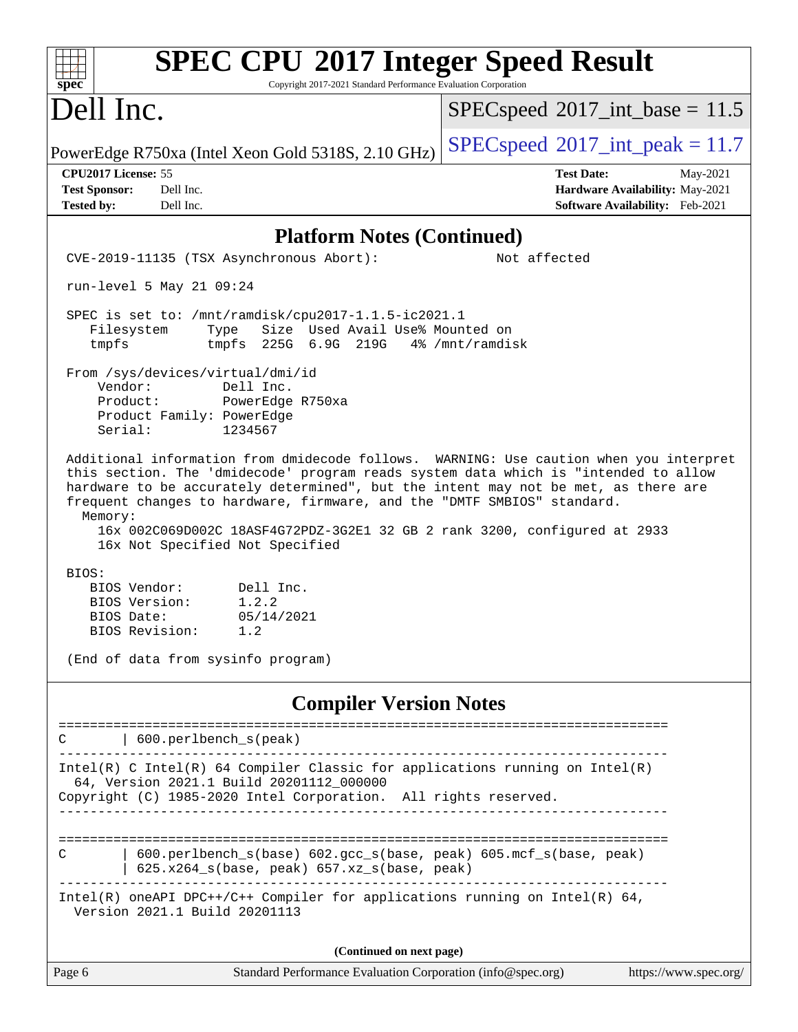| <b>SPEC CPU®2017 Integer Speed Result</b><br>Copyright 2017-2021 Standard Performance Evaluation Corporation<br>spec®                                                                                                                                                                                                                                                                                                                                                     |                                                                                                     |
|---------------------------------------------------------------------------------------------------------------------------------------------------------------------------------------------------------------------------------------------------------------------------------------------------------------------------------------------------------------------------------------------------------------------------------------------------------------------------|-----------------------------------------------------------------------------------------------------|
| Dell Inc.                                                                                                                                                                                                                                                                                                                                                                                                                                                                 | $SPEC speed^{\circ}2017\_int\_base = 11.5$                                                          |
| PowerEdge R750xa (Intel Xeon Gold 5318S, 2.10 GHz)                                                                                                                                                                                                                                                                                                                                                                                                                        | $SPEC speed^{\circ}2017\_int\_peak = 11.7$                                                          |
| CPU2017 License: 55<br><b>Test Sponsor:</b><br>Dell Inc.<br>Dell Inc.<br><b>Tested by:</b>                                                                                                                                                                                                                                                                                                                                                                                | <b>Test Date:</b><br>May-2021<br>Hardware Availability: May-2021<br>Software Availability: Feb-2021 |
| <b>Platform Notes (Continued)</b>                                                                                                                                                                                                                                                                                                                                                                                                                                         |                                                                                                     |
| CVE-2019-11135 (TSX Asynchronous Abort):                                                                                                                                                                                                                                                                                                                                                                                                                                  | Not affected                                                                                        |
| run-level 5 May 21 09:24                                                                                                                                                                                                                                                                                                                                                                                                                                                  |                                                                                                     |
| SPEC is set to: /mnt/ramdisk/cpu2017-1.1.5-ic2021.1<br>Size Used Avail Use% Mounted on<br>Filesystem<br>Type<br>tmpfs<br>tmpfs $225G$ 6.9G $219G$ 4% /mnt/ramdisk                                                                                                                                                                                                                                                                                                         |                                                                                                     |
| From /sys/devices/virtual/dmi/id<br>Vendor:<br>Dell Inc.<br>Product:<br>PowerEdge R750xa<br>Product Family: PowerEdge<br>Serial:<br>1234567                                                                                                                                                                                                                                                                                                                               |                                                                                                     |
| Additional information from dmidecode follows. WARNING: Use caution when you interpret<br>this section. The 'dmidecode' program reads system data which is "intended to allow<br>hardware to be accurately determined", but the intent may not be met, as there are<br>frequent changes to hardware, firmware, and the "DMTF SMBIOS" standard.<br>Memory:<br>16x 002C069D002C 18ASF4G72PDZ-3G2E1 32 GB 2 rank 3200, configured at 2933<br>16x Not Specified Not Specified |                                                                                                     |
| BIOS:<br>Dell Inc.<br>BIOS Vendor:<br>1.2.2<br>BIOS Version:<br>05/14/2021<br>BIOS Date:<br>BIOS Revision:<br>1.2<br>(End of data from sysinfo program)                                                                                                                                                                                                                                                                                                                   |                                                                                                     |
| <b>Compiler Version Notes</b>                                                                                                                                                                                                                                                                                                                                                                                                                                             |                                                                                                     |
| 600.perlbench_s(peak)                                                                                                                                                                                                                                                                                                                                                                                                                                                     |                                                                                                     |
| $Intel(R)$ C Intel(R) 64 Compiler Classic for applications running on Intel(R)<br>64, Version 2021.1 Build 20201112_000000<br>Copyright (C) 1985-2020 Intel Corporation. All rights reserved.                                                                                                                                                                                                                                                                             |                                                                                                     |
| 600.perlbench_s(base) 602.gcc_s(base, peak) 605.mcf_s(base, peak)<br>C<br>625.x264_s(base, peak) 657.xz_s(base, peak)                                                                                                                                                                                                                                                                                                                                                     |                                                                                                     |
| Intel(R) oneAPI DPC++/C++ Compiler for applications running on Intel(R) $64$ ,<br>Version 2021.1 Build 20201113                                                                                                                                                                                                                                                                                                                                                           |                                                                                                     |
| (Continued on next page)                                                                                                                                                                                                                                                                                                                                                                                                                                                  |                                                                                                     |
| Standard Performance Evaluation Corporation (info@spec.org)<br>Page 6                                                                                                                                                                                                                                                                                                                                                                                                     | https://www.spec.org/                                                                               |
|                                                                                                                                                                                                                                                                                                                                                                                                                                                                           |                                                                                                     |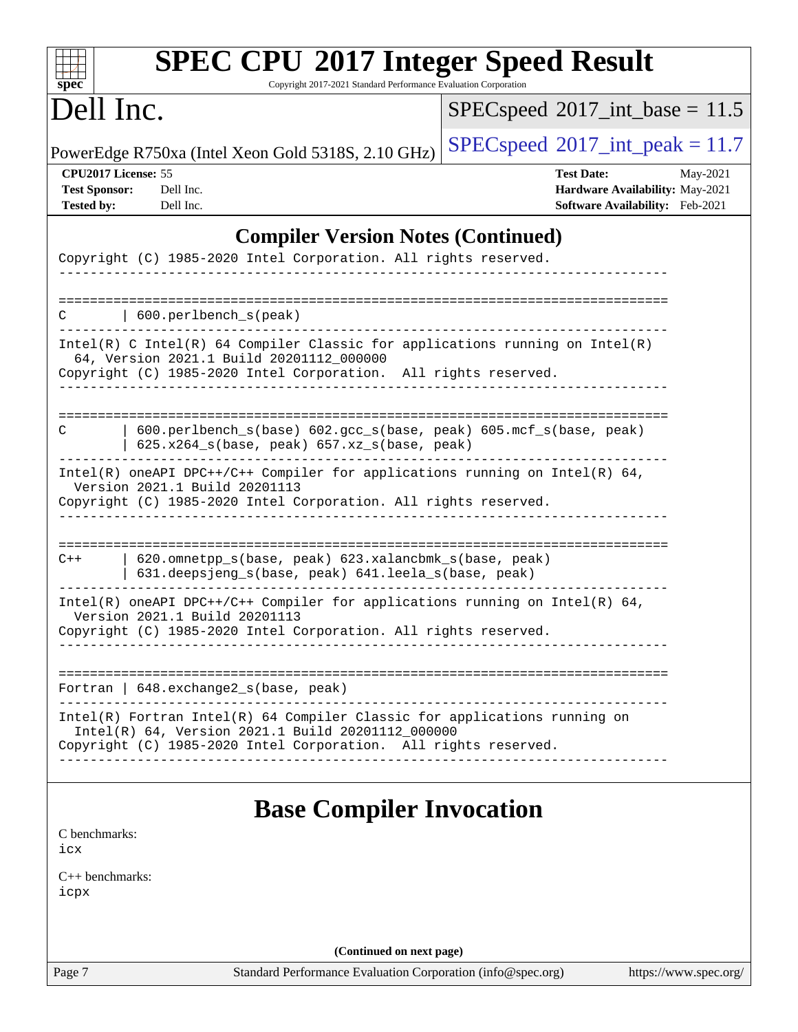| <b>SPEC CPU®2017 Integer Speed Result</b><br>Copyright 2017-2021 Standard Performance Evaluation Corporation                                                                                      |                                                                                                     |
|---------------------------------------------------------------------------------------------------------------------------------------------------------------------------------------------------|-----------------------------------------------------------------------------------------------------|
| $spec^*$<br>Dell Inc.                                                                                                                                                                             | $SPEC speed^{\circ}2017\_int\_base = 11.5$                                                          |
| PowerEdge R750xa (Intel Xeon Gold 5318S, 2.10 GHz)                                                                                                                                                | $SPEC speed^{\circ}2017\_int\_peak = 11.7$                                                          |
| CPU2017 License: 55<br><b>Test Sponsor:</b><br>Dell Inc.<br><b>Tested by:</b><br>Dell Inc.                                                                                                        | <b>Test Date:</b><br>May-2021<br>Hardware Availability: May-2021<br>Software Availability: Feb-2021 |
| <b>Compiler Version Notes (Continued)</b>                                                                                                                                                         |                                                                                                     |
| Copyright (C) 1985-2020 Intel Corporation. All rights reserved.                                                                                                                                   |                                                                                                     |
| 600.perlbench_s(peak)<br>С                                                                                                                                                                        |                                                                                                     |
| $Intel(R)$ C Intel(R) 64 Compiler Classic for applications running on $Intel(R)$<br>64, Version 2021.1 Build 20201112_000000<br>Copyright (C) 1985-2020 Intel Corporation. All rights reserved.   |                                                                                                     |
| 600.perlbench_s(base) 602.gcc_s(base, peak) 605.mcf_s(base, peak)<br>C<br>625.x264_s(base, peak) 657.xz_s(base, peak)                                                                             |                                                                                                     |
| Intel(R) oneAPI DPC++/C++ Compiler for applications running on Intel(R) $64$ ,<br>Version 2021.1 Build 20201113<br>Copyright (C) 1985-2020 Intel Corporation. All rights reserved.                |                                                                                                     |
| 620.omnetpp_s(base, peak) 623.xalancbmk_s(base, peak)<br>$C++$<br>631.deepsjeng_s(base, peak) 641.leela_s(base, peak)                                                                             |                                                                                                     |
| Intel(R) oneAPI DPC++/C++ Compiler for applications running on Intel(R) $64$ ,<br>Version 2021.1 Build 20201113<br>Copyright (C) 1985-2020 Intel Corporation. All rights reserved.                |                                                                                                     |
| Fortran   648. exchange2_s(base, peak)                                                                                                                                                            |                                                                                                     |
| Intel(R) Fortran Intel(R) 64 Compiler Classic for applications running on<br>Intel(R) 64, Version 2021.1 Build 20201112_000000<br>Copyright (C) 1985-2020 Intel Corporation. All rights reserved. |                                                                                                     |
| <b>Base Compiler Invocation</b><br>C benchmarks:<br>icx                                                                                                                                           |                                                                                                     |
| $C_{++}$ benchmarks:<br>icpx                                                                                                                                                                      |                                                                                                     |
| (Continued on next page)                                                                                                                                                                          |                                                                                                     |
| Page 7<br>Standard Performance Evaluation Corporation (info@spec.org)                                                                                                                             | https://www.spec.org/                                                                               |
|                                                                                                                                                                                                   |                                                                                                     |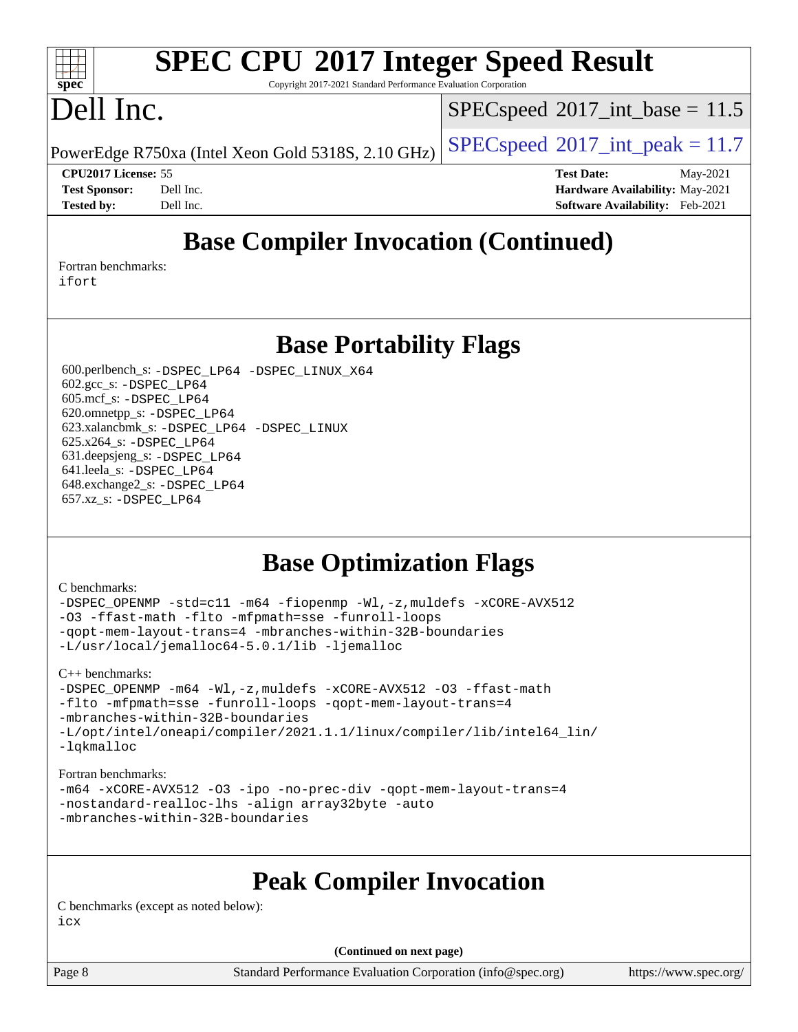## **[SPEC CPU](http://www.spec.org/auto/cpu2017/Docs/result-fields.html#SPECCPU2017IntegerSpeedResult)[2017 Integer Speed Result](http://www.spec.org/auto/cpu2017/Docs/result-fields.html#SPECCPU2017IntegerSpeedResult)**

Copyright 2017-2021 Standard Performance Evaluation Corporation

## Dell Inc.

**[spec](http://www.spec.org/)**

 $\pm t$ 

 $SPECspeed^{\circ}2017\_int\_base = 11.5$  $SPECspeed^{\circ}2017\_int\_base = 11.5$ 

PowerEdge R750xa (Intel Xeon Gold 5318S, 2.10 GHz)  $\left|$  [SPECspeed](http://www.spec.org/auto/cpu2017/Docs/result-fields.html#SPECspeed2017intpeak)®[2017\\_int\\_peak = 1](http://www.spec.org/auto/cpu2017/Docs/result-fields.html#SPECspeed2017intpeak)1.7

**[CPU2017 License:](http://www.spec.org/auto/cpu2017/Docs/result-fields.html#CPU2017License)** 55 **[Test Date:](http://www.spec.org/auto/cpu2017/Docs/result-fields.html#TestDate)** May-2021 **[Test Sponsor:](http://www.spec.org/auto/cpu2017/Docs/result-fields.html#TestSponsor)** Dell Inc. **[Hardware Availability:](http://www.spec.org/auto/cpu2017/Docs/result-fields.html#HardwareAvailability)** May-2021 **[Tested by:](http://www.spec.org/auto/cpu2017/Docs/result-fields.html#Testedby)** Dell Inc. **[Software Availability:](http://www.spec.org/auto/cpu2017/Docs/result-fields.html#SoftwareAvailability)** Feb-2021

## **[Base Compiler Invocation \(Continued\)](http://www.spec.org/auto/cpu2017/Docs/result-fields.html#BaseCompilerInvocation)**

[Fortran benchmarks](http://www.spec.org/auto/cpu2017/Docs/result-fields.html#Fortranbenchmarks): [ifort](http://www.spec.org/cpu2017/results/res2021q3/cpu2017-20210618-27206.flags.html#user_FCbase_intel_ifort_8111460550e3ca792625aed983ce982f94888b8b503583aa7ba2b8303487b4d8a21a13e7191a45c5fd58ff318f48f9492884d4413fa793fd88dd292cad7027ca)

**[Base Portability Flags](http://www.spec.org/auto/cpu2017/Docs/result-fields.html#BasePortabilityFlags)**

 600.perlbench\_s: [-DSPEC\\_LP64](http://www.spec.org/cpu2017/results/res2021q3/cpu2017-20210618-27206.flags.html#b600.perlbench_s_basePORTABILITY_DSPEC_LP64) [-DSPEC\\_LINUX\\_X64](http://www.spec.org/cpu2017/results/res2021q3/cpu2017-20210618-27206.flags.html#b600.perlbench_s_baseCPORTABILITY_DSPEC_LINUX_X64) 602.gcc\_s: [-DSPEC\\_LP64](http://www.spec.org/cpu2017/results/res2021q3/cpu2017-20210618-27206.flags.html#suite_basePORTABILITY602_gcc_s_DSPEC_LP64) 605.mcf\_s: [-DSPEC\\_LP64](http://www.spec.org/cpu2017/results/res2021q3/cpu2017-20210618-27206.flags.html#suite_basePORTABILITY605_mcf_s_DSPEC_LP64) 620.omnetpp\_s: [-DSPEC\\_LP64](http://www.spec.org/cpu2017/results/res2021q3/cpu2017-20210618-27206.flags.html#suite_basePORTABILITY620_omnetpp_s_DSPEC_LP64) 623.xalancbmk\_s: [-DSPEC\\_LP64](http://www.spec.org/cpu2017/results/res2021q3/cpu2017-20210618-27206.flags.html#suite_basePORTABILITY623_xalancbmk_s_DSPEC_LP64) [-DSPEC\\_LINUX](http://www.spec.org/cpu2017/results/res2021q3/cpu2017-20210618-27206.flags.html#b623.xalancbmk_s_baseCXXPORTABILITY_DSPEC_LINUX) 625.x264\_s: [-DSPEC\\_LP64](http://www.spec.org/cpu2017/results/res2021q3/cpu2017-20210618-27206.flags.html#suite_basePORTABILITY625_x264_s_DSPEC_LP64) 631.deepsjeng\_s: [-DSPEC\\_LP64](http://www.spec.org/cpu2017/results/res2021q3/cpu2017-20210618-27206.flags.html#suite_basePORTABILITY631_deepsjeng_s_DSPEC_LP64) 641.leela\_s: [-DSPEC\\_LP64](http://www.spec.org/cpu2017/results/res2021q3/cpu2017-20210618-27206.flags.html#suite_basePORTABILITY641_leela_s_DSPEC_LP64) 648.exchange2\_s: [-DSPEC\\_LP64](http://www.spec.org/cpu2017/results/res2021q3/cpu2017-20210618-27206.flags.html#suite_basePORTABILITY648_exchange2_s_DSPEC_LP64) 657.xz\_s: [-DSPEC\\_LP64](http://www.spec.org/cpu2017/results/res2021q3/cpu2017-20210618-27206.flags.html#suite_basePORTABILITY657_xz_s_DSPEC_LP64)

### **[Base Optimization Flags](http://www.spec.org/auto/cpu2017/Docs/result-fields.html#BaseOptimizationFlags)**

#### [C benchmarks](http://www.spec.org/auto/cpu2017/Docs/result-fields.html#Cbenchmarks):

[-DSPEC\\_OPENMP](http://www.spec.org/cpu2017/results/res2021q3/cpu2017-20210618-27206.flags.html#suite_CCbase_DSPEC_OPENMP) [-std=c11](http://www.spec.org/cpu2017/results/res2021q3/cpu2017-20210618-27206.flags.html#user_CCbase_std-icc-std_0e1c27790398a4642dfca32ffe6c27b5796f9c2d2676156f2e42c9c44eaad0c049b1cdb667a270c34d979996257aeb8fc440bfb01818dbc9357bd9d174cb8524) [-m64](http://www.spec.org/cpu2017/results/res2021q3/cpu2017-20210618-27206.flags.html#user_CCbase_m64-icc) [-fiopenmp](http://www.spec.org/cpu2017/results/res2021q3/cpu2017-20210618-27206.flags.html#user_CCbase_fiopenmp_4cde26b3fcccd23bd0bb70af4efc204325d72839eefa1147e34201101709f20b3deb62aad96701dea148529bf4ca48c90b72f3bf837ca148e297cf8a0ba6feb7) [-Wl,-z,muldefs](http://www.spec.org/cpu2017/results/res2021q3/cpu2017-20210618-27206.flags.html#user_CCbase_link_force_multiple1_b4cbdb97b34bdee9ceefcfe54f4c8ea74255f0b02a4b23e853cdb0e18eb4525ac79b5a88067c842dd0ee6996c24547a27a4b99331201badda8798ef8a743f577) [-xCORE-AVX512](http://www.spec.org/cpu2017/results/res2021q3/cpu2017-20210618-27206.flags.html#user_CCbase_f-xCORE-AVX512) [-O3](http://www.spec.org/cpu2017/results/res2021q3/cpu2017-20210618-27206.flags.html#user_CCbase_f-O3) [-ffast-math](http://www.spec.org/cpu2017/results/res2021q3/cpu2017-20210618-27206.flags.html#user_CCbase_f-ffast-math) [-flto](http://www.spec.org/cpu2017/results/res2021q3/cpu2017-20210618-27206.flags.html#user_CCbase_f-flto) [-mfpmath=sse](http://www.spec.org/cpu2017/results/res2021q3/cpu2017-20210618-27206.flags.html#user_CCbase_f-mfpmath_70eb8fac26bde974f8ab713bc9086c5621c0b8d2f6c86f38af0bd7062540daf19db5f3a066d8c6684be05d84c9b6322eb3b5be6619d967835195b93d6c02afa1) [-funroll-loops](http://www.spec.org/cpu2017/results/res2021q3/cpu2017-20210618-27206.flags.html#user_CCbase_f-funroll-loops) [-qopt-mem-layout-trans=4](http://www.spec.org/cpu2017/results/res2021q3/cpu2017-20210618-27206.flags.html#user_CCbase_f-qopt-mem-layout-trans_fa39e755916c150a61361b7846f310bcdf6f04e385ef281cadf3647acec3f0ae266d1a1d22d972a7087a248fd4e6ca390a3634700869573d231a252c784941a8) [-mbranches-within-32B-boundaries](http://www.spec.org/cpu2017/results/res2021q3/cpu2017-20210618-27206.flags.html#user_CCbase_f-mbranches-within-32B-boundaries) [-L/usr/local/jemalloc64-5.0.1/lib](http://www.spec.org/cpu2017/results/res2021q3/cpu2017-20210618-27206.flags.html#user_CCbase_jemalloc_link_path64_1_cc289568b1a6c0fd3b62c91b824c27fcb5af5e8098e6ad028160d21144ef1b8aef3170d2acf0bee98a8da324cfe4f67d0a3d0c4cc4673d993d694dc2a0df248b) [-ljemalloc](http://www.spec.org/cpu2017/results/res2021q3/cpu2017-20210618-27206.flags.html#user_CCbase_jemalloc_link_lib_d1249b907c500fa1c0672f44f562e3d0f79738ae9e3c4a9c376d49f265a04b9c99b167ecedbf6711b3085be911c67ff61f150a17b3472be731631ba4d0471706)

[C++ benchmarks:](http://www.spec.org/auto/cpu2017/Docs/result-fields.html#CXXbenchmarks)

[-DSPEC\\_OPENMP](http://www.spec.org/cpu2017/results/res2021q3/cpu2017-20210618-27206.flags.html#suite_CXXbase_DSPEC_OPENMP) [-m64](http://www.spec.org/cpu2017/results/res2021q3/cpu2017-20210618-27206.flags.html#user_CXXbase_m64-icc) [-Wl,-z,muldefs](http://www.spec.org/cpu2017/results/res2021q3/cpu2017-20210618-27206.flags.html#user_CXXbase_link_force_multiple1_b4cbdb97b34bdee9ceefcfe54f4c8ea74255f0b02a4b23e853cdb0e18eb4525ac79b5a88067c842dd0ee6996c24547a27a4b99331201badda8798ef8a743f577) [-xCORE-AVX512](http://www.spec.org/cpu2017/results/res2021q3/cpu2017-20210618-27206.flags.html#user_CXXbase_f-xCORE-AVX512) [-O3](http://www.spec.org/cpu2017/results/res2021q3/cpu2017-20210618-27206.flags.html#user_CXXbase_f-O3) [-ffast-math](http://www.spec.org/cpu2017/results/res2021q3/cpu2017-20210618-27206.flags.html#user_CXXbase_f-ffast-math) [-flto](http://www.spec.org/cpu2017/results/res2021q3/cpu2017-20210618-27206.flags.html#user_CXXbase_f-flto) [-mfpmath=sse](http://www.spec.org/cpu2017/results/res2021q3/cpu2017-20210618-27206.flags.html#user_CXXbase_f-mfpmath_70eb8fac26bde974f8ab713bc9086c5621c0b8d2f6c86f38af0bd7062540daf19db5f3a066d8c6684be05d84c9b6322eb3b5be6619d967835195b93d6c02afa1) [-funroll-loops](http://www.spec.org/cpu2017/results/res2021q3/cpu2017-20210618-27206.flags.html#user_CXXbase_f-funroll-loops) [-qopt-mem-layout-trans=4](http://www.spec.org/cpu2017/results/res2021q3/cpu2017-20210618-27206.flags.html#user_CXXbase_f-qopt-mem-layout-trans_fa39e755916c150a61361b7846f310bcdf6f04e385ef281cadf3647acec3f0ae266d1a1d22d972a7087a248fd4e6ca390a3634700869573d231a252c784941a8) [-mbranches-within-32B-boundaries](http://www.spec.org/cpu2017/results/res2021q3/cpu2017-20210618-27206.flags.html#user_CXXbase_f-mbranches-within-32B-boundaries) [-L/opt/intel/oneapi/compiler/2021.1.1/linux/compiler/lib/intel64\\_lin/](http://www.spec.org/cpu2017/results/res2021q3/cpu2017-20210618-27206.flags.html#user_CXXbase_linkpath_765a8c93c4ea33dfc565a33ecb48f4f7d02a6338709b3b362f341eb203a06426ce1d12ded4c7809f6ab6cf0e9f5515cffeb4efc405b63f85dc27a83bbbdeb3a3) [-lqkmalloc](http://www.spec.org/cpu2017/results/res2021q3/cpu2017-20210618-27206.flags.html#user_CXXbase_qkmalloc_link_lib_79a818439969f771c6bc311cfd333c00fc099dad35c030f5aab9dda831713d2015205805422f83de8875488a2991c0a156aaa600e1f9138f8fc37004abc96dc5)

#### [Fortran benchmarks](http://www.spec.org/auto/cpu2017/Docs/result-fields.html#Fortranbenchmarks):

[-m64](http://www.spec.org/cpu2017/results/res2021q3/cpu2017-20210618-27206.flags.html#user_FCbase_m64-icc) [-xCORE-AVX512](http://www.spec.org/cpu2017/results/res2021q3/cpu2017-20210618-27206.flags.html#user_FCbase_f-xCORE-AVX512) [-O3](http://www.spec.org/cpu2017/results/res2021q3/cpu2017-20210618-27206.flags.html#user_FCbase_f-O3) [-ipo](http://www.spec.org/cpu2017/results/res2021q3/cpu2017-20210618-27206.flags.html#user_FCbase_f-ipo) [-no-prec-div](http://www.spec.org/cpu2017/results/res2021q3/cpu2017-20210618-27206.flags.html#user_FCbase_f-no-prec-div) [-qopt-mem-layout-trans=4](http://www.spec.org/cpu2017/results/res2021q3/cpu2017-20210618-27206.flags.html#user_FCbase_f-qopt-mem-layout-trans_fa39e755916c150a61361b7846f310bcdf6f04e385ef281cadf3647acec3f0ae266d1a1d22d972a7087a248fd4e6ca390a3634700869573d231a252c784941a8) [-nostandard-realloc-lhs](http://www.spec.org/cpu2017/results/res2021q3/cpu2017-20210618-27206.flags.html#user_FCbase_f_2003_std_realloc_82b4557e90729c0f113870c07e44d33d6f5a304b4f63d4c15d2d0f1fab99f5daaed73bdb9275d9ae411527f28b936061aa8b9c8f2d63842963b95c9dd6426b8a) [-align array32byte](http://www.spec.org/cpu2017/results/res2021q3/cpu2017-20210618-27206.flags.html#user_FCbase_align_array32byte_b982fe038af199962ba9a80c053b8342c548c85b40b8e86eb3cc33dee0d7986a4af373ac2d51c3f7cf710a18d62fdce2948f201cd044323541f22fc0fffc51b6) [-auto](http://www.spec.org/cpu2017/results/res2021q3/cpu2017-20210618-27206.flags.html#user_FCbase_f-auto) [-mbranches-within-32B-boundaries](http://www.spec.org/cpu2017/results/res2021q3/cpu2017-20210618-27206.flags.html#user_FCbase_f-mbranches-within-32B-boundaries)

### **[Peak Compiler Invocation](http://www.spec.org/auto/cpu2017/Docs/result-fields.html#PeakCompilerInvocation)**

[C benchmarks \(except as noted below\)](http://www.spec.org/auto/cpu2017/Docs/result-fields.html#Cbenchmarksexceptasnotedbelow): [icx](http://www.spec.org/cpu2017/results/res2021q3/cpu2017-20210618-27206.flags.html#user_CCpeak_intel_icx_fe2d28d19ae2a5db7c42fe0f2a2aed77cb715edd4aeb23434404a8be6683fe239869bb6ca8154ca98265c2e3b9226a719a0efe2953a4a7018c379b7010ccf087)

**(Continued on next page)**

Page 8 Standard Performance Evaluation Corporation [\(info@spec.org\)](mailto:info@spec.org) <https://www.spec.org/>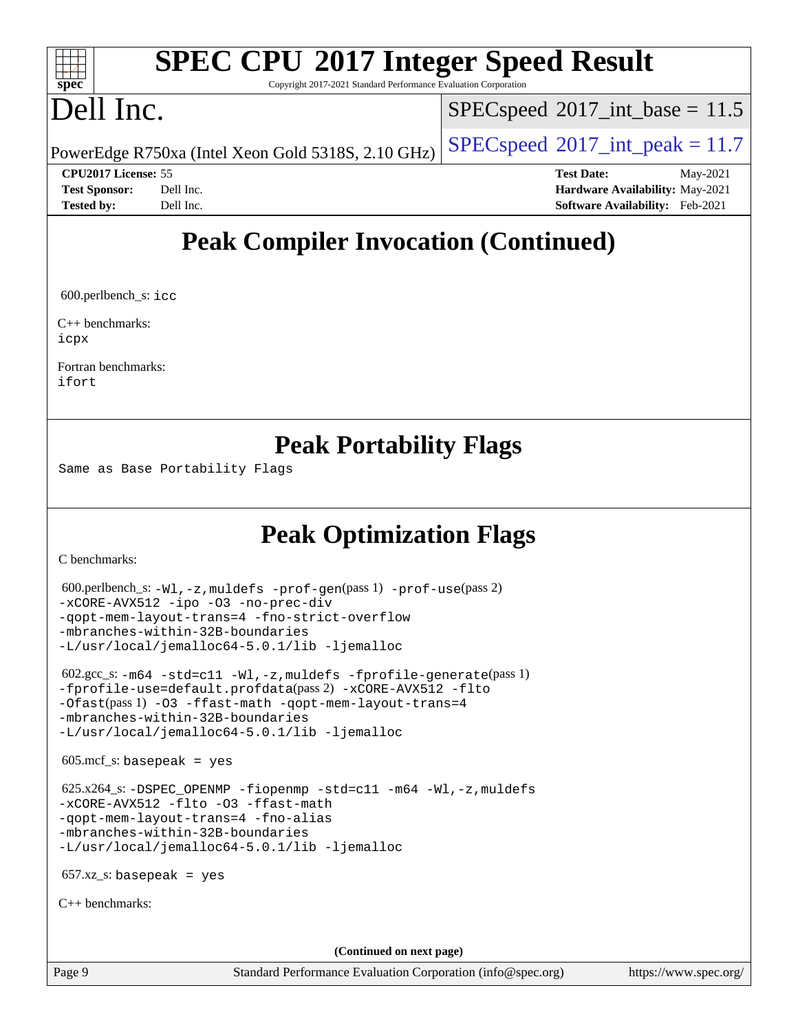## **[SPEC CPU](http://www.spec.org/auto/cpu2017/Docs/result-fields.html#SPECCPU2017IntegerSpeedResult)[2017 Integer Speed Result](http://www.spec.org/auto/cpu2017/Docs/result-fields.html#SPECCPU2017IntegerSpeedResult)**

Copyright 2017-2021 Standard Performance Evaluation Corporation

## Dell Inc.

**[spec](http://www.spec.org/)**

 $+\ +$ 

 $SPECspeed^{\circ}2017\_int\_base = 11.5$  $SPECspeed^{\circ}2017\_int\_base = 11.5$ 

PowerEdge R750xa (Intel Xeon Gold 5318S, 2.10 GHz)  $\left|$  [SPECspeed](http://www.spec.org/auto/cpu2017/Docs/result-fields.html#SPECspeed2017intpeak)®[2017\\_int\\_peak = 1](http://www.spec.org/auto/cpu2017/Docs/result-fields.html#SPECspeed2017intpeak)1.7

**[CPU2017 License:](http://www.spec.org/auto/cpu2017/Docs/result-fields.html#CPU2017License)** 55 **[Test Date:](http://www.spec.org/auto/cpu2017/Docs/result-fields.html#TestDate)** May-2021 **[Test Sponsor:](http://www.spec.org/auto/cpu2017/Docs/result-fields.html#TestSponsor)** Dell Inc. **[Hardware Availability:](http://www.spec.org/auto/cpu2017/Docs/result-fields.html#HardwareAvailability)** May-2021 **[Tested by:](http://www.spec.org/auto/cpu2017/Docs/result-fields.html#Testedby)** Dell Inc. **[Software Availability:](http://www.spec.org/auto/cpu2017/Docs/result-fields.html#SoftwareAvailability)** Feb-2021

### **[Peak Compiler Invocation \(Continued\)](http://www.spec.org/auto/cpu2017/Docs/result-fields.html#PeakCompilerInvocation)**

600.perlbench\_s: [icc](http://www.spec.org/cpu2017/results/res2021q3/cpu2017-20210618-27206.flags.html#user_peakCCLD600_perlbench_s_intel_icc_66fc1ee009f7361af1fbd72ca7dcefbb700085f36577c54f309893dd4ec40d12360134090235512931783d35fd58c0460139e722d5067c5574d8eaf2b3e37e92)

[C++ benchmarks:](http://www.spec.org/auto/cpu2017/Docs/result-fields.html#CXXbenchmarks) [icpx](http://www.spec.org/cpu2017/results/res2021q3/cpu2017-20210618-27206.flags.html#user_CXXpeak_intel_icpx_1e918ed14c436bf4b9b7c8bcdd51d4539fc71b3df010bd1e9f8732d9c34c2b2914e48204a846820f3c0ebb4095dea797a5c30b458ac0b6dffac65d78f781f5ca)

[Fortran benchmarks](http://www.spec.org/auto/cpu2017/Docs/result-fields.html#Fortranbenchmarks): [ifort](http://www.spec.org/cpu2017/results/res2021q3/cpu2017-20210618-27206.flags.html#user_FCpeak_intel_ifort_8111460550e3ca792625aed983ce982f94888b8b503583aa7ba2b8303487b4d8a21a13e7191a45c5fd58ff318f48f9492884d4413fa793fd88dd292cad7027ca)

#### **[Peak Portability Flags](http://www.spec.org/auto/cpu2017/Docs/result-fields.html#PeakPortabilityFlags)**

Same as Base Portability Flags

## **[Peak Optimization Flags](http://www.spec.org/auto/cpu2017/Docs/result-fields.html#PeakOptimizationFlags)**

[C benchmarks](http://www.spec.org/auto/cpu2017/Docs/result-fields.html#Cbenchmarks):

```
 600.perlbench_s: -Wl,-z,muldefs -prof-gen(pass 1) -prof-use(pass 2)
-xCORE-AVX512 -ipo -O3 -no-prec-div
-qopt-mem-layout-trans=4 -fno-strict-overflow
-mbranches-within-32B-boundaries
-L/usr/local/jemalloc64-5.0.1/lib -ljemalloc
 602.gcc_s: -m64 -std=c11 -Wl,-z,muldefs -fprofile-generate(pass 1)
-fprofile-use=default.profdata(pass 2) -xCORE-AVX512 -flto
-Ofast(pass 1) -O3 -ffast-math -qopt-mem-layout-trans=4
-mbranches-within-32B-boundaries
-L/usr/local/jemalloc64-5.0.1/lib -ljemalloc
605 \text{.mcf}\text{-}\mathrm{s}: basepeak = yes
 625.x264_s: -DSPEC_OPENMP -fiopenmp -std=c11 -m64 -Wl,-z,muldefs
-xCORE-AVX512 -flto -O3 -ffast-math
-qopt-mem-layout-trans=4 -fno-alias
-mbranches-within-32B-boundaries
-L/usr/local/jemalloc64-5.0.1/lib -ljemalloc
657.xz_s: basepeak = yes
C++ benchmarks: 
                                       (Continued on next page)
```